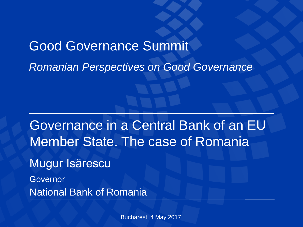# Good Governance Summit *Romanian Perspectives on Good Governance*

Governance in a Central Bank of an EU Member State. The case of Romania

Mugur Isărescu

Governor National Bank of Romania

Bucharest, 4 May 2017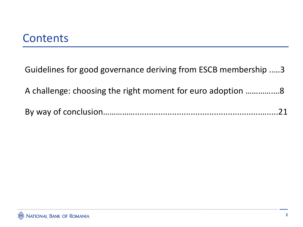## **Contents**

Guidelines for good governance deriving from ESCB membership ..…3

A challenge: choosing the right moment for euro adoption ………….…8

|--|--|--|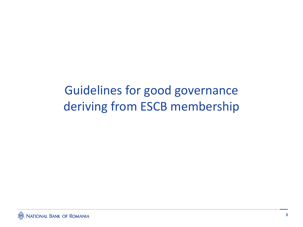## Guidelines for good governance deriving from ESCB membership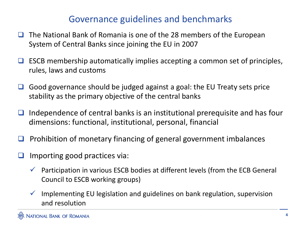#### Governance guidelines and benchmarks

- $\Box$  The National Bank of Romania is one of the 28 members of the European System of Central Banks since joining the EU in 2007
- $\Box$  ESCB membership automatically implies accepting a common set of principles, rules, laws and customs
- $\Box$  Good governance should be judged against a goal: the EU Treaty sets price stability as the primary objective of the central banks
- $\Box$  Independence of central banks is an institutional prerequisite and has four dimensions: functional, institutional, personal, financial
- $\Box$  Prohibition of monetary financing of general government imbalances
- Importing good practices via:
	- $\checkmark$  Participation in various ESCB bodies at different levels (from the ECB General Council to ESCB working groups)
	- $\checkmark$  Implementing EU legislation and guidelines on bank regulation, supervision and resolution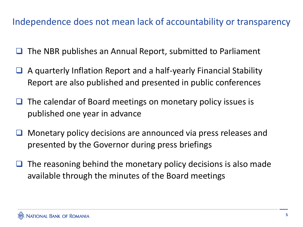#### Independence does not mean lack of accountability or transparency

- The NBR publishes an Annual Report, submitted to Parliament
- $\Box$  A quarterly Inflation Report and a half-yearly Financial Stability Report are also published and presented in public conferences
- $\Box$  The calendar of Board meetings on monetary policy issues is published one year in advance
- **O** Monetary policy decisions are announced via press releases and presented by the Governor during press briefings
- $\Box$  The reasoning behind the monetary policy decisions is also made available through the minutes of the Board meetings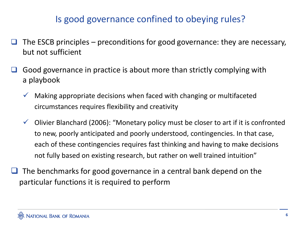#### Is good governance confined to obeying rules?

- The ESCB principles preconditions for good governance: they are necessary, but not sufficient
- Good governance in practice is about more than strictly complying with a playbook
	- $\checkmark$  Making appropriate decisions when faced with changing or multifaceted circumstances requires flexibility and creativity
	- $\checkmark$  Olivier Blanchard (2006): "Monetary policy must be closer to art if it is confronted to new, poorly anticipated and poorly understood, contingencies. In that case, each of these contingencies requires fast thinking and having to make decisions not fully based on existing research, but rather on well trained intuition"
- $\Box$  The benchmarks for good governance in a central bank depend on the particular functions it is required to perform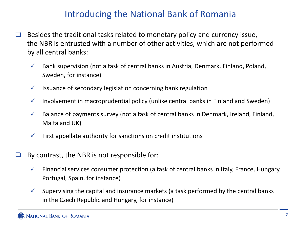#### Introducing the National Bank of Romania

- $\Box$  Besides the traditional tasks related to monetary policy and currency issue, the NBR is entrusted with a number of other activities, which are not performed by all central banks:
	- $\checkmark$  Bank supervision (not a task of central banks in Austria, Denmark, Finland, Poland, Sweden, for instance)
	- $\checkmark$  Issuance of secondary legislation concerning bank regulation
	- $\checkmark$  Involvement in macroprudential policy (unlike central banks in Finland and Sweden)
	- $\checkmark$  Balance of payments survey (not a task of central banks in Denmark, Ireland, Finland, Malta and UK)
	- $\checkmark$  First appellate authority for sanctions on credit institutions
- $\Box$  By contrast, the NBR is not responsible for:
	- $\checkmark$  Financial services consumer protection (a task of central banks in Italy, France, Hungary, Portugal, Spain, for instance)
	- $\checkmark$  Supervising the capital and insurance markets (a task performed by the central banks in the Czech Republic and Hungary, for instance)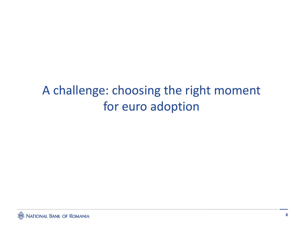## A challenge: choosing the right moment for euro adoption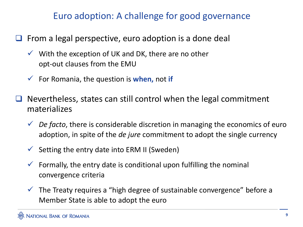#### Euro adoption: A challenge for good governance

- $\Box$  From a legal perspective, euro adoption is a done deal
	- $\checkmark$  With the exception of UK and DK, there are no other opt-out clauses from the EMU
	- For Romania, the question is **when,** not **if**
- Nevertheless, states can still control when the legal commitment materializes
	- *De facto*, there is considerable discretion in managing the economics of euro adoption, in spite of the *de jure* commitment to adopt the single currency
	- $\checkmark$  Setting the entry date into ERM II (Sweden)
	- $\checkmark$  Formally, the entry date is conditional upon fulfilling the nominal convergence criteria
	- $\checkmark$  The Treaty requires a "high degree of sustainable convergence" before a Member State is able to adopt the euro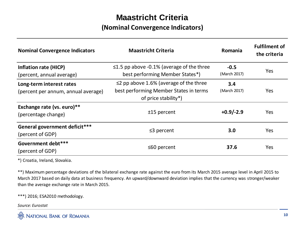#### **Maastricht Criteria**

#### **(Nominal Convergence Indicators)**

| <b>Nominal Convergence Indicators</b>                           | <b>Maastricht Criteria</b>                                                                                     | Romania                | <b>Fulfilment of</b><br>the criteria |
|-----------------------------------------------------------------|----------------------------------------------------------------------------------------------------------------|------------------------|--------------------------------------|
| <b>Inflation rate (HICP)</b><br>(percent, annual average)       | $\leq$ 1.5 pp above -0.1% (average of the three<br>best performing Member States*)                             | $-0.5$<br>(March 2017) | Yes                                  |
| Long-term interest rates<br>(percent per annum, annual average) | $\leq$ 2 pp above 1.6% (average of the three<br>best performing Member States in terms<br>of price stability*) | 3.4<br>(March 2017)    | Yes                                  |
| Exchange rate (vs. euro)**<br>(percentage change)               | $±15$ percent                                                                                                  | $+0.9/-2.9$            | Yes                                  |
| General government deficit***<br>(percent of GDP)               | $\leq$ 3 percent                                                                                               | 3.0                    | Yes                                  |
| Government debt***<br>(percent of GDP)                          | ≤60 percent                                                                                                    | 37.6                   | Yes                                  |

\*) Croatia, Ireland, Slovakia.

\*\*) Maximum percentage deviations of the bilateral exchange rate against the euro from its March 2015 average level in April 2015 to March 2017 based on daily data at business frequency. An upward/downward deviation implies that the currency was stronger/weaker than the average exchange rate in March 2015.

\*\*\*) 2016; ESA2010 methodology.

*Source: Eurostat*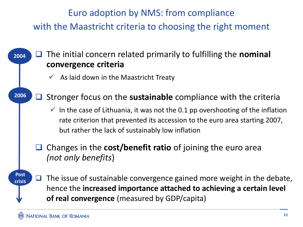Euro adoption by NMS: from compliance with the Maastricht criteria to choosing the right moment

#### **2004** □ The initial concern related primarily to fulfilling the **nominal convergence criteria**

- $\checkmark$  As laid down in the Maastricht Treaty
- **2006** ■ Stronger focus on the **sustainable** compliance with the criteria
	- $\checkmark$  In the case of Lithuania, it was not the 0.1 pp overshooting of the inflation rate criterion that prevented its accession to the euro area starting 2007, but rather the lack of sustainably low inflation
	- Changes in the **cost/benefit ratio** of joining the euro area *(not only benefits*)

#### **Post crisis**  $\Box$  The issue of sustainable convergence gained more weight in the debate, hence the **increased importance attached to achieving a certain level of real convergence** (measured by GDP/capita)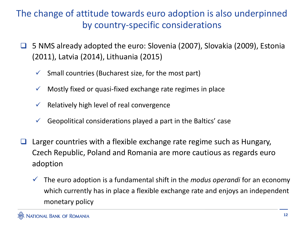#### The change of attitude towards euro adoption is also underpinned by country-specific considerations

- 5 NMS already adopted the euro: Slovenia (2007), Slovakia (2009), Estonia (2011), Latvia (2014), Lithuania (2015)
	- Small countries (Bucharest size, for the most part)
	- Mostly fixed or quasi-fixed exchange rate regimes in place
	- Relatively high level of real convergence
	- Geopolitical considerations played a part in the Baltics' case
- $\Box$  Larger countries with a flexible exchange rate regime such as Hungary, Czech Republic, Poland and Romania are more cautious as regards euro adoption
	- The euro adoption is a fundamental shift in the *modus operandi* for an economy which currently has in place a flexible exchange rate and enjoys an independent monetary policy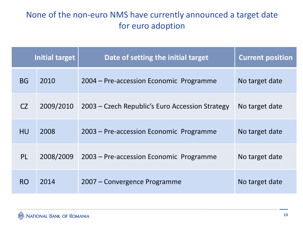#### None of the non-euro NMS have currently announced a target date for euro adoption

| Initial target |           | Date of setting the initial target              | <b>Current position</b> |
|----------------|-----------|-------------------------------------------------|-------------------------|
| <b>BG</b>      | 2010      | 2004 – Pre-accession Economic Programme         | No target date          |
| CZ             | 2009/2010 | 2003 – Czech Republic's Euro Accession Strategy | No target date          |
| <b>HU</b>      | 2008      | 2003 – Pre-accession Economic Programme         | No target date          |
| PL             | 2008/2009 | 2003 – Pre-accession Economic Programme         | No target date          |
| <b>RO</b>      | 2014      | 2007 – Convergence Programme                    | No target date          |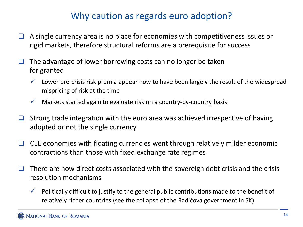#### Why caution as regards euro adoption?

- $\Box$  A single currency area is no place for economies with competitiveness issues or rigid markets, therefore structural reforms are a prerequisite for success
- $\Box$  The advantage of lower borrowing costs can no longer be taken for granted
	- $\checkmark$  Lower pre-crisis risk premia appear now to have been largely the result of the widespread mispricing of risk at the time
	- $\checkmark$  Markets started again to evaluate risk on a country-by-country basis
- $\Box$  Strong trade integration with the euro area was achieved irrespective of having adopted or not the single currency
- $\Box$  CEE economies with floating currencies went through relatively milder economic contractions than those with fixed exchange rate regimes
- $\Box$  There are now direct costs associated with the sovereign debt crisis and the crisis resolution mechanisms
	- $\checkmark$  Politically difficult to justify to the general public contributions made to the benefit of relatively richer countries (see the collapse of the Radičová government in SK)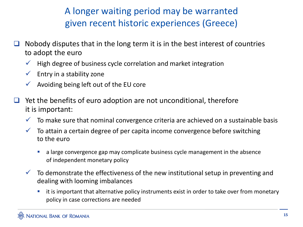### A longer waiting period may be warranted given recent historic experiences (Greece)

- Nobody disputes that in the long term it is in the best interest of countries to adopt the euro
	- $\checkmark$  High degree of business cycle correlation and market integration
	- $\checkmark$  Entry in a stability zone
	- Avoiding being left out of the EU core
- $\Box$  Yet the benefits of euro adoption are not unconditional, therefore it is important:
	- $\checkmark$  To make sure that nominal convergence criteria are achieved on a sustainable basis
	- $\checkmark$  To attain a certain degree of per capita income convergence before switching to the euro
		- **a** a large convergence gap may complicate business cycle management in the absence of independent monetary policy
	- $\checkmark$  To demonstrate the effectiveness of the new institutional setup in preventing and dealing with looming imbalances
		- it is important that alternative policy instruments exist in order to take over from monetary policy in case corrections are needed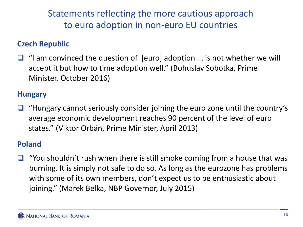Statements reflecting the more cautious approach to euro adoption in non-euro EU countries

#### **Czech Republic**

 $\Box$  "I am convinced the question of [euro] adoption ... is not whether we will accept it but how to time adoption well." (Bohuslav Sobotka, Prime Minister, October 2016)

#### **Hungary**

 $\Box$  "Hungary cannot seriously consider joining the euro zone until the country's average economic development reaches 90 percent of the level of euro states." (Viktor Orbán, Prime Minister, April 2013)

#### **Poland**

 "You shouldn't rush when there is still smoke coming from a house that was burning. It is simply not safe to do so. As long as the eurozone has problems with some of its own members, don't expect us to be enthusiastic about joining." (Marek Belka, NBP Governor, July 2015)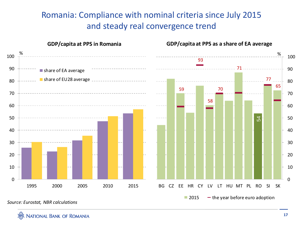#### Romania: Compliance with nominal criteria since July 2015 and steady real convergence trend



**NATIONAL BANK OF ROMANIA**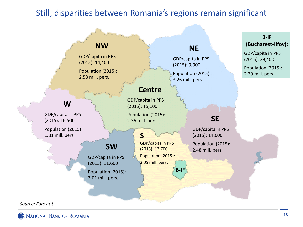#### Still, disparities between Romania's regions remain significant

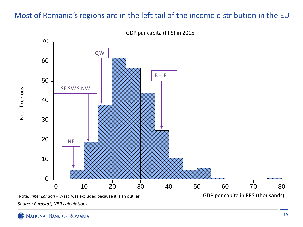#### Most of Romania's regions are in the left tail of the income distribution in the EU



GDP per capita (PPS) in 2015

*Source: Eurostat, NBR calculations* Note*: Inner London – West* was excluded because it is an outlier

No. of regions No. of regions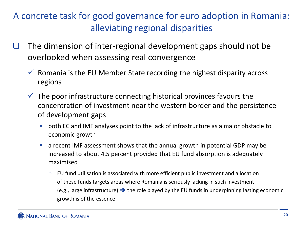### A concrete task for good governance for euro adoption in Romania: alleviating regional disparities

- $\Box$  The dimension of inter-regional development gaps should not be overlooked when assessing real convergence
	- $\checkmark$  Romania is the EU Member State recording the highest disparity across regions
	- $\checkmark$  The poor infrastructure connecting historical provinces favours the concentration of investment near the western border and the persistence of development gaps
		- **both EC and IMF analyses point to the lack of infrastructure as a major obstacle to** economic growth
		- a recent IMF assessment shows that the annual growth in potential GDP may be increased to about 4.5 percent provided that EU fund absorption is adequately maximised
			- o EU fund utilisation is associated with more efficient public investment and allocation of these funds targets areas where Romania is seriously lacking in such investment (e.g., large infrastructure)  $\rightarrow$  the role played by the EU funds in underpinning lasting economic growth is of the essence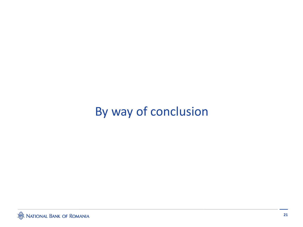## By way of conclusion